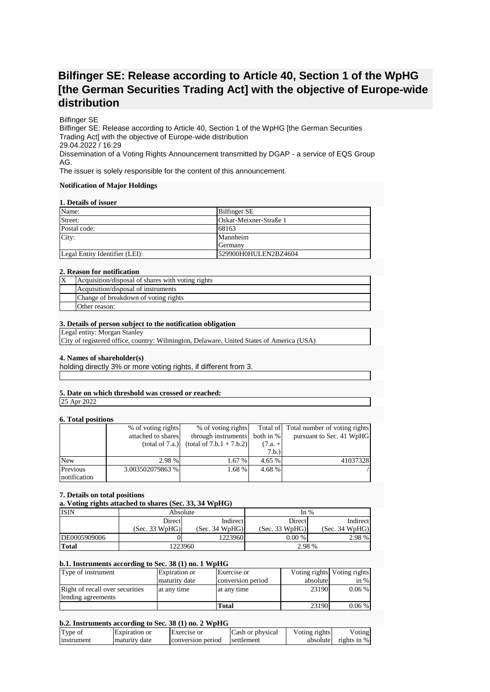# **Bilfinger SE: Release according to Article 40, Section 1 of the WpHG [the German Securities Trading Act] with the objective of Europe-wide distribution**

## Bilfinger SE

Bilfinger SE: Release according to Article 40, Section 1 of the WpHG [the German Securities Trading Act] with the objective of Europe-wide distribution 29.04.2022 / 16:29 Dissemination of a Voting Rights Announcement transmitted by DGAP - a service of EQS Group AG.

The issuer is solely responsible for the content of this announcement.

#### **Notification of Major Holdings**

#### **1. Details of issuer**

| Name:                          | <b>Bilfinger SE</b>    |
|--------------------------------|------------------------|
| Street:                        | Oskar-Meixner-Straße 1 |
| Postal code:                   | 68163                  |
| City:                          | Mannheim               |
|                                | Germany                |
| Legal Entity Identifier (LEI): | 529900H0HULEN2BZ4604   |

### **2. Reason for notification**

| ΙX | Acquisition/disposal of shares with voting rights |
|----|---------------------------------------------------|
|    | Acquisition/disposal of instruments               |
|    | Change of breakdown of voting rights              |
|    | Other reason:                                     |

### **3. Details of person subject to the notification obligation**

Legal entity: Morgan Stanley

City of registered office, country: Wilmington, Delaware, United States of America (USA)

## **4. Names of shareholder(s)**

holding directly 3% or more voting rights, if different from 3.

## **5. Date on which threshold was crossed or reached:**

25 Apr 2022

## **6. Total positions**

| <u>VI I VUM MUDIMUMD</u> |                    |                            |           |                                        |
|--------------------------|--------------------|----------------------------|-----------|----------------------------------------|
|                          | % of voting rights | % of voting rights         |           | Total of Total number of voting rights |
|                          | attached to shares | through instruments        | both in % | pursuant to Sec. 41 WpHG               |
|                          | (total of 7.a.)    | $(total of 7.b.1 + 7.b.2)$ | $(7.a. +$ |                                        |
|                          |                    |                            | 7.b.)     |                                        |
| <b>New</b>               | 2.98 %             | 1.67 %                     | 4.65 %    | 41037328                               |
| Previous                 | 3.003502079863 %   | 1.68 %                     | 4.68 %    |                                        |
| notification             |                    |                            |           |                                        |

## **7. Details on total positions**

**a. Voting rights attached to shares (Sec. 33, 34 WpHG)**

| <b>ISIN</b>  | Absolute       |                | In $%$         |                |
|--------------|----------------|----------------|----------------|----------------|
|              | Direct         | Indirect       | Direct         | Indirect       |
|              | (Sec. 33 WpHG) | (Sec. 34 WpHG) | (Sec. 33 WpHG) | (Sec. 34 WpHG) |
| DE0005909006 |                | 1223960        | $0.00\%$       | 2.98 %         |
| <b>Total</b> | 1223960        |                | 2.98 %         |                |

## **b.1. Instruments according to Sec. 38 (1) no. 1 WpHG**

| Type of instrument              | Expiration or | Exercise or       |          | Voting rights Voting rights |
|---------------------------------|---------------|-------------------|----------|-----------------------------|
|                                 | maturity date | conversion period | absolute | in $%$                      |
| Right of recall over securities | at any time   | at any time       | 23190    | $0.06\%$                    |
| lending agreements              |               |                   |          |                             |
|                                 |               | Total             | 23190    | $0.06\%$                    |

## **b.2. Instruments according to Sec. 38 (1) no. 2 WpHG**

| Type of    | Expiration or | Exercise or       | Cash or physical | Voting rights | Voting        |
|------------|---------------|-------------------|------------------|---------------|---------------|
| Instrument | maturity date | conversion period | settlement       | absolute      | rights in $%$ |